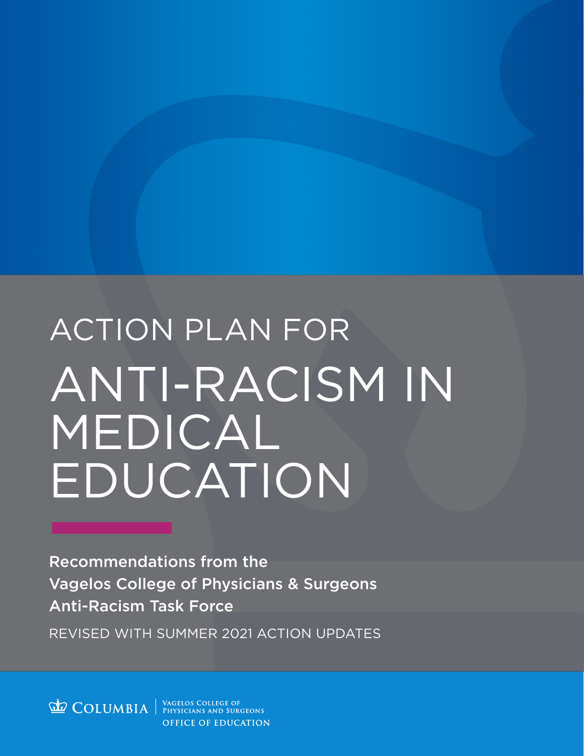# ACTION PLAN FOR ANTI-RACISM IN MEDICAL **EDUCATION**

REVISED WITH SUMMER 2021 ACTION UPDATES Recommendations from the Vagelos College of Physicians & Surgeons Anti-Racism Task Force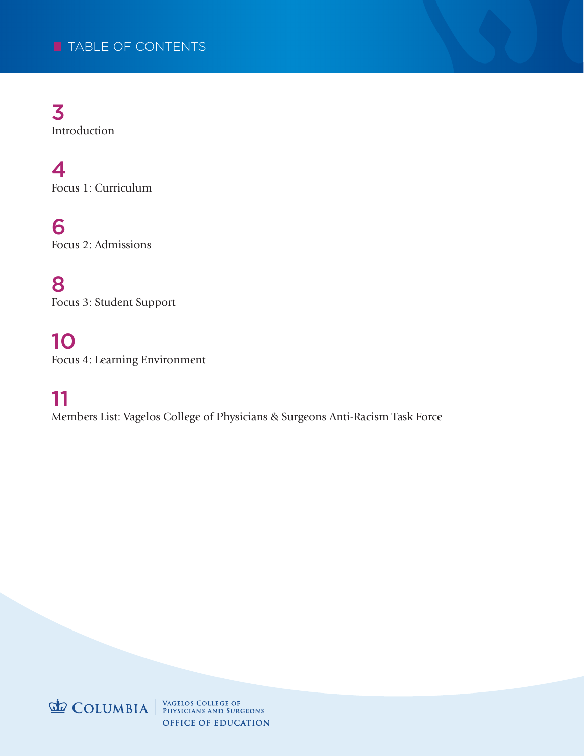3 Introduction

4 Focus 1: Curriculum

6 Focus 2: Admissions

8 Focus 3: Student Support

10 Focus 4: Learning Environment

11

Members List: Vagelos College of Physicians & Surgeons Anti-Racism Task Force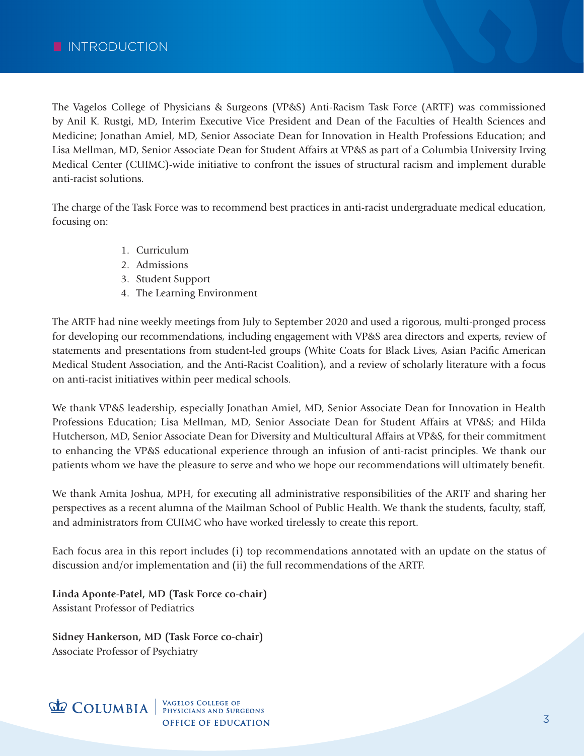The Vagelos College of Physicians & Surgeons (VP&S) Anti-Racism Task Force (ARTF) was commissioned by Anil K. Rustgi, MD, Interim Executive Vice President and Dean of the Faculties of Health Sciences and Medicine; Jonathan Amiel, MD, Senior Associate Dean for Innovation in Health Professions Education; and Lisa Mellman, MD, Senior Associate Dean for Student Affairs at VP&S as part of a Columbia University Irving Medical Center (CUIMC)-wide initiative to confront the issues of structural racism and implement durable anti-racist solutions.

The charge of the Task Force was to recommend best practices in anti-racist undergraduate medical education, focusing on:

- 1. Curriculum
- 2. Admissions
- 3. Student Support
- 4. The Learning Environment

The ARTF had nine weekly meetings from July to September 2020 and used a rigorous, multi-pronged process for developing our recommendations, including engagement with VP&S area directors and experts, review of statements and presentations from student-led groups (White Coats for Black Lives, Asian Pacific American Medical Student Association, and the Anti-Racist Coalition), and a review of scholarly literature with a focus on anti-racist initiatives within peer medical schools.

We thank VP&S leadership, especially Jonathan Amiel, MD, Senior Associate Dean for Innovation in Health Professions Education; Lisa Mellman, MD, Senior Associate Dean for Student Affairs at VP&S; and Hilda Hutcherson, MD, Senior Associate Dean for Diversity and Multicultural Affairs at VP&S, for their commitment to enhancing the VP&S educational experience through an infusion of anti-racist principles. We thank our patients whom we have the pleasure to serve and who we hope our recommendations will ultimately benefit.

We thank Amita Joshua, MPH, for executing all administrative responsibilities of the ARTF and sharing her perspectives as a recent alumna of the Mailman School of Public Health. We thank the students, faculty, staff, and administrators from CUIMC who have worked tirelessly to create this report.

Each focus area in this report includes (i) top recommendations annotated with an update on the status of discussion and/or implementation and (ii) the full recommendations of the ARTF.

**Linda Aponte-Patel, MD (Task Force co-chair)** Assistant Professor of Pediatrics

**Sidney Hankerson, MD (Task Force co-chair)** Associate Professor of Psychiatry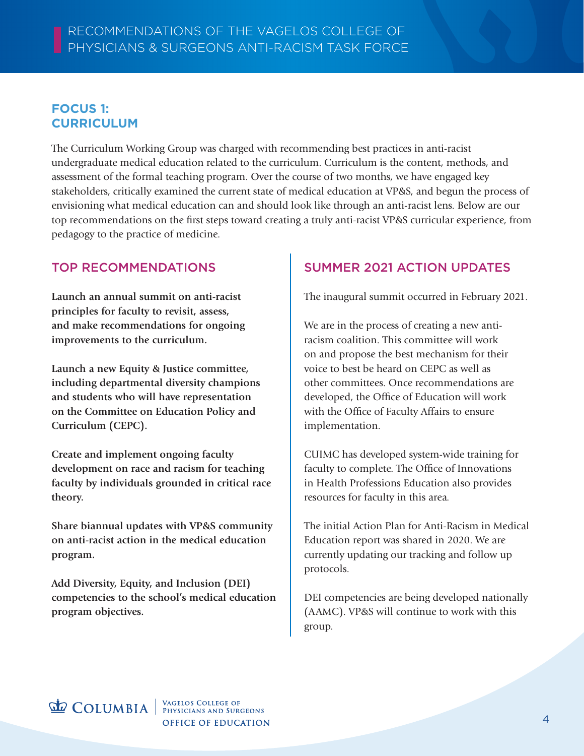#### **FOCUS 1: CURRICULUM**

The Curriculum Working Group was charged with recommending best practices in anti-racist undergraduate medical education related to the curriculum. Curriculum is the content, methods, and assessment of the formal teaching program. Over the course of two months, we have engaged key stakeholders, critically examined the current state of medical education at VP&S, and begun the process of envisioning what medical education can and should look like through an anti-racist lens. Below are our top recommendations on the first steps toward creating a truly anti-racist VP&S curricular experience, from pedagogy to the practice of medicine.

#### TOP RECOMMENDATIONS

**Launch an annual summit on anti-racist principles for faculty to revisit, assess, and make recommendations for ongoing improvements to the curriculum.**

**Launch a new Equity & Justice committee, including departmental diversity champions and students who will have representation on the Committee on Education Policy and Curriculum (CEPC).**

**Create and implement ongoing faculty development on race and racism for teaching faculty by individuals grounded in critical race theory.**

**Share biannual updates with VP&S community on anti-racist action in the medical education program.**

**Add Diversity, Equity, and Inclusion (DEI) competencies to the school's medical education program objectives.**

## SUMMER 2021 ACTION UPDATES

The inaugural summit occurred in February 2021.

We are in the process of creating a new antiracism coalition. This committee will work on and propose the best mechanism for their voice to best be heard on CEPC as well as other committees. Once recommendations are developed, the Office of Education will work with the Office of Faculty Affairs to ensure implementation.

CUIMC has developed system-wide training for faculty to complete. The Office of Innovations in Health Professions Education also provides resources for faculty in this area.

The initial Action Plan for Anti-Racism in Medical Education report was shared in 2020. We are currently updating our tracking and follow up protocols.

DEI competencies are being developed nationally (AAMC). VP&S will continue to work with this group.

# **COLUMBIA** WAGELOS COLLEGE OF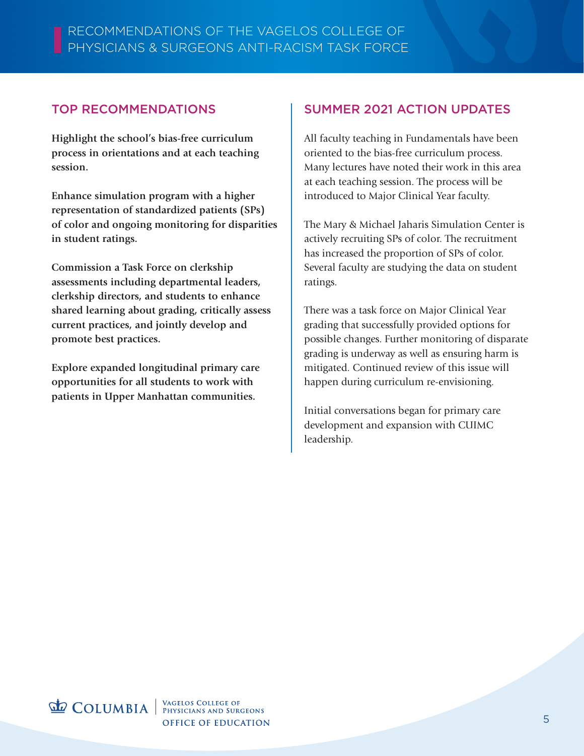#### TOP RECOMMENDATIONS

j **Highlight the school's bias-free curriculum process in orientations and at each teaching session.** 

**Enhance simulation program with a higher representation of standardized patients (SPs) of color and ongoing monitoring for disparities in student ratings.**

**Commission a Task Force on clerkship assessments including departmental leaders, clerkship directors, and students to enhance shared learning about grading, critically assess current practices, and jointly develop and promote best practices.**

**Explore expanded longitudinal primary care opportunities for all students to work with patients in Upper Manhattan communities.**

#### SUMMER 2021 ACTION UPDATES

All faculty teaching in Fundamentals have been oriented to the bias-free curriculum process. Many lectures have noted their work in this area at each teaching session. The process will be introduced to Major Clinical Year faculty.

The Mary & Michael Jaharis Simulation Center is actively recruiting SPs of color. The recruitment has increased the proportion of SPs of color. Several faculty are studying the data on student ratings.

There was a task force on Major Clinical Year grading that successfully provided options for possible changes. Further monitoring of disparate grading is underway as well as ensuring harm is mitigated. Continued review of this issue will happen during curriculum re-envisioning.

Initial conversations began for primary care development and expansion with CUIMC leadership.

**COLUMBIA** WAGELOS COLLEGE OF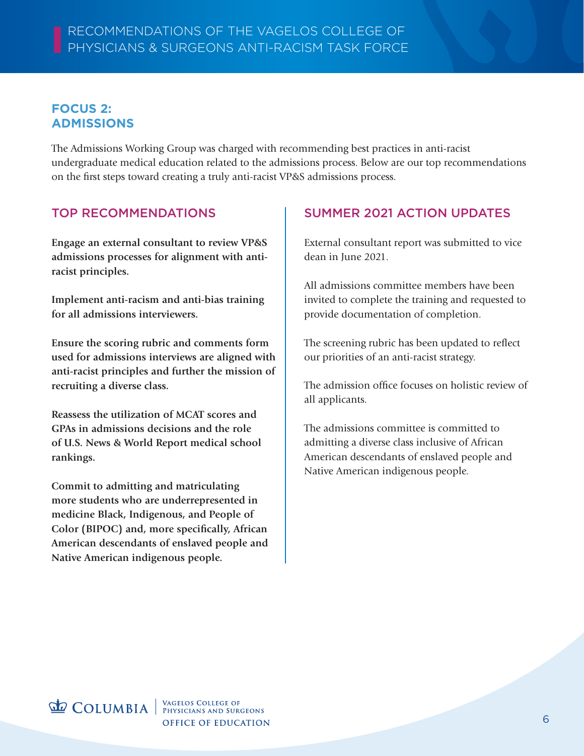#### **FOCUS 2: ADMISSIONS**

The Admissions Working Group was charged with recommending best practices in anti-racist undergraduate medical education related to the admissions process. Below are our top recommendations on the first steps toward creating a truly anti-racist VP&S admissions process.

#### TOP RECOMMENDATIONS

**Engage an external consultant to review VP&S admissions processes for alignment with antiracist principles.**

**Implement anti-racism and anti-bias training for all admissions interviewers.**

**Ensure the scoring rubric and comments form used for admissions interviews are aligned with anti-racist principles and further the mission of recruiting a diverse class.**

**Reassess the utilization of MCAT scores and GPAs in admissions decisions and the role of U.S. News & World Report medical school rankings.** 

**Commit to admitting and matriculating more students who are underrepresented in medicine Black, Indigenous, and People of Color (BIPOC) and, more specifically, African American descendants of enslaved people and Native American indigenous people.**

## SUMMER 2021 ACTION UPDATES

External consultant report was submitted to vice dean in June 2021.

All admissions committee members have been invited to complete the training and requested to provide documentation of completion.

The screening rubric has been updated to reflect our priorities of an anti-racist strategy.

The admission office focuses on holistic review of all applicants.

The admissions committee is committed to admitting a diverse class inclusive of African American descendants of enslaved people and Native American indigenous people.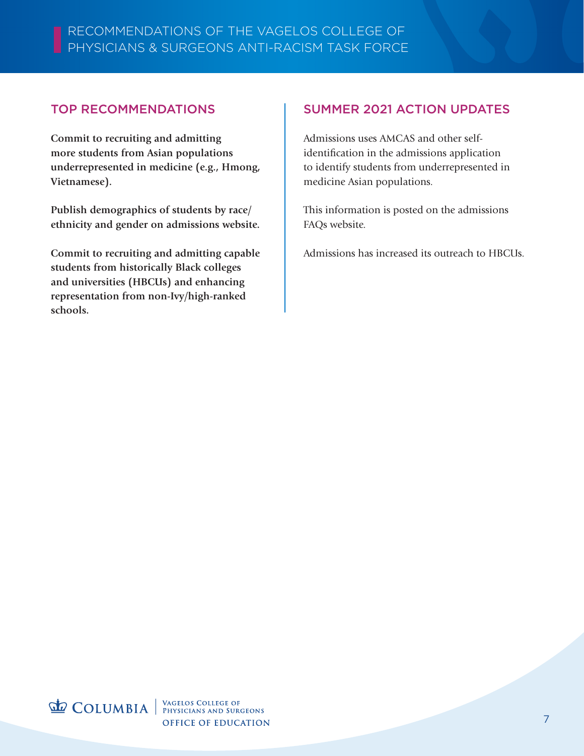#### TOP RECOMMENDATIONS

l **Commit to recruiting and admitting more students from Asian populations underrepresented in medicine (e.g., Hmong, Vietnamese).**

**Publish demographics of students by race/ ethnicity and gender on admissions website.**

**Commit to recruiting and admitting capable students from historically Black colleges and universities (HBCUs) and enhancing representation from non-Ivy/high-ranked schools.** 

#### SUMMER 2021 ACTION UPDATES

Admissions uses AMCAS and other selfidentification in the admissions application to identify students from underrepresented in medicine Asian populations.

This information is posted on the admissions FAQs website.

Admissions has increased its outreach to HBCUs.

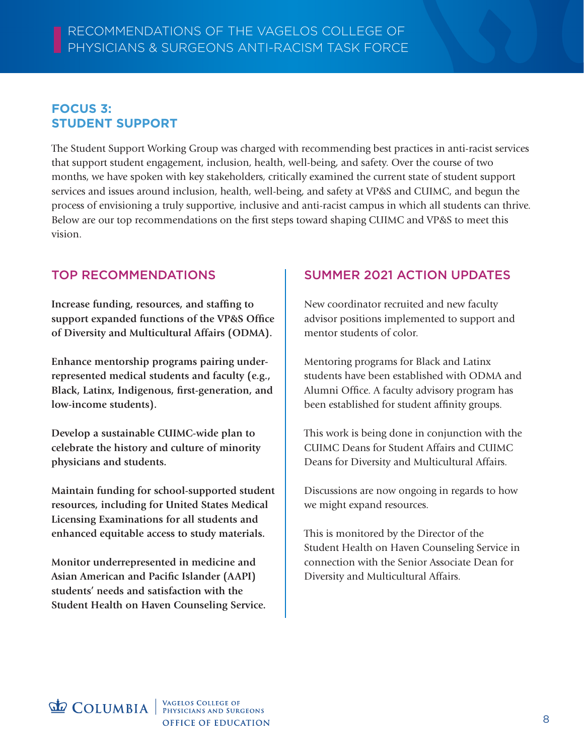#### **FOCUS 3: STUDENT SUPPORT**

The Student Support Working Group was charged with recommending best practices in anti-racist services that support student engagement, inclusion, health, well-being, and safety. Over the course of two months, we have spoken with key stakeholders, critically examined the current state of student support services and issues around inclusion, health, well-being, and safety at VP&S and CUIMC, and begun the process of envisioning a truly supportive, inclusive and anti-racist campus in which all students can thrive. Below are our top recommendations on the first steps toward shaping CUIMC and VP&S to meet this vision.

#### TOP RECOMMENDATIONS

**Increase funding, resources, and staffing to support expanded functions of the VP&S Office of Diversity and Multicultural Affairs (ODMA).**

**Enhance mentorship programs pairing underrepresented medical students and faculty (e.g., Black, Latinx, Indigenous, first-generation, and low-income students).**

**Develop a sustainable CUIMC-wide plan to celebrate the history and culture of minority physicians and students.** 

**Maintain funding for school-supported student resources, including for United States Medical Licensing Examinations for all students and enhanced equitable access to study materials.**

**Monitor underrepresented in medicine and Asian American and Pacific Islander (AAPI) students' needs and satisfaction with the Student Health on Haven Counseling Service.**

## SUMMER 2021 ACTION UPDATES

New coordinator recruited and new faculty advisor positions implemented to support and mentor students of color.

Mentoring programs for Black and Latinx students have been established with ODMA and Alumni Office. A faculty advisory program has been established for student affinity groups.

This work is being done in conjunction with the CUIMC Deans for Student Affairs and CUIMC Deans for Diversity and Multicultural Affairs.

Discussions are now ongoing in regards to how we might expand resources.

This is monitored by the Director of the Student Health on Haven Counseling Service in connection with the Senior Associate Dean for Diversity and Multicultural Affairs.

**COLUMBIA** WAGELOS COLLEGE OF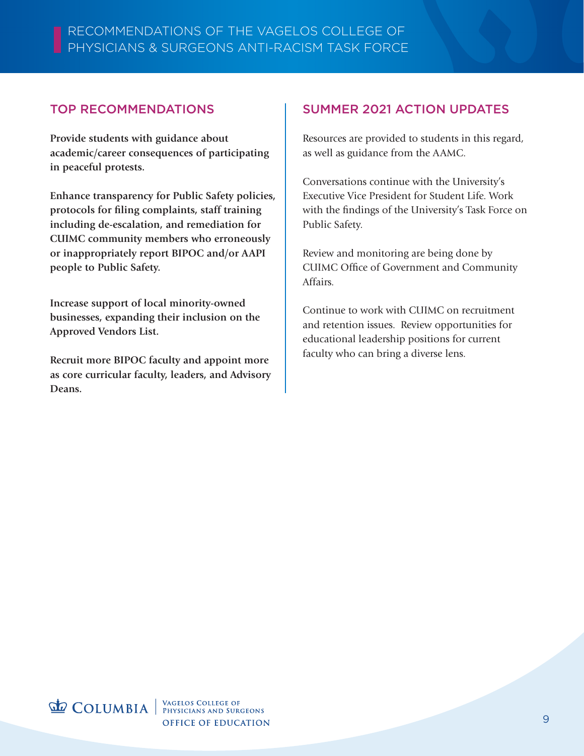#### TOP RECOMMENDATIONS

j **Provide students with guidance about academic/career consequences of participating in peaceful protests.**

**Enhance transparency for Public Safety policies, protocols for filing complaints, staff training including de-escalation, and remediation for CUIMC community members who erroneously or inappropriately report BIPOC and/or AAPI people to Public Safety.**

**Increase support of local minority-owned businesses, expanding their inclusion on the Approved Vendors List.**

**Recruit more BIPOC faculty and appoint more as core curricular faculty, leaders, and Advisory Deans.**

#### SUMMER 2021 ACTION UPDATES

Resources are provided to students in this regard, as well as guidance from the AAMC.

Conversations continue with the University's Executive Vice President for Student Life. Work with the findings of the University's Task Force on Public Safety.

Review and monitoring are being done by CUIMC Office of Government and Community Affairs.

Continue to work with CUIMC on recruitment and retention issues. Review opportunities for educational leadership positions for current faculty who can bring a diverse lens.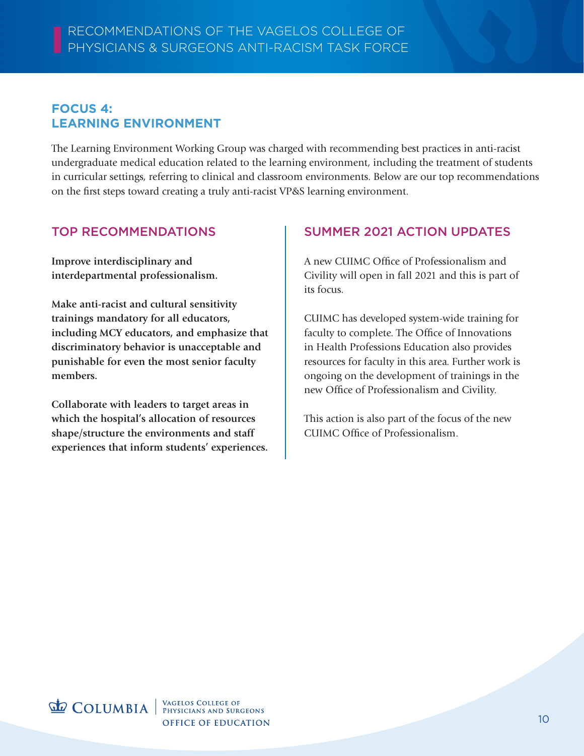#### **FOCUS 4: LEARNING ENVIRONMENT**

The Learning Environment Working Group was charged with recommending best practices in anti-racist undergraduate medical education related to the learning environment, including the treatment of students in curricular settings, referring to clinical and classroom environments. Below are our top recommendations on the first steps toward creating a truly anti-racist VP&S learning environment.

#### TOP RECOMMENDATIONS

**Improve interdisciplinary and interdepartmental professionalism.**

**Make anti-racist and cultural sensitivity trainings mandatory for all educators, including MCY educators, and emphasize that discriminatory behavior is unacceptable and punishable for even the most senior faculty members.**

**Collaborate with leaders to target areas in which the hospital's allocation of resources shape/structure the environments and staff experiences that inform students' experiences.**

#### SUMMER 2021 ACTION UPDATES

A new CUIMC Office of Professionalism and Civility will open in fall 2021 and this is part of its focus.

CUIMC has developed system-wide training for faculty to complete. The Office of Innovations in Health Professions Education also provides resources for faculty in this area. Further work is ongoing on the development of trainings in the new Office of Professionalism and Civility.

This action is also part of the focus of the new CUIMC Office of Professionalism.

**COLUMBIA** WAGELOS COLLEGE OF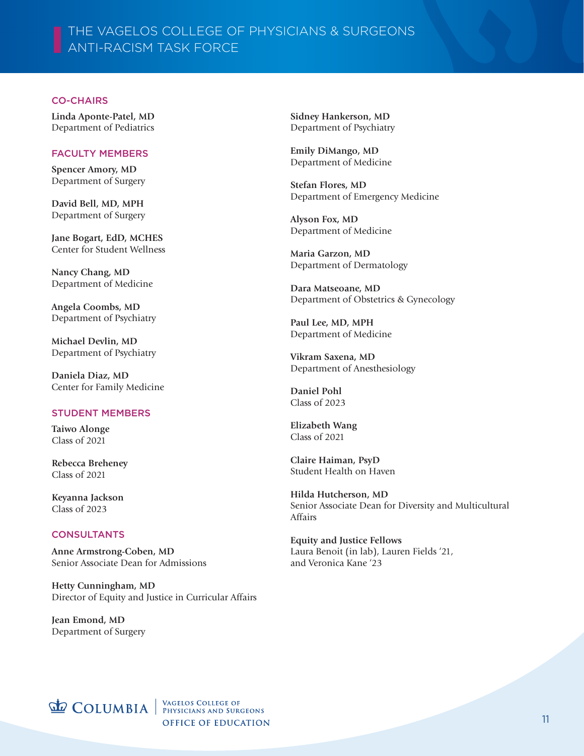## THE VAGELOS COLLEGE OF PHYSICIANS & SURGEONS ANTI-RACISM TASK FORCE

#### CO-CHAIRS

**Linda Aponte-Patel, MD** Department of Pediatrics

#### FACULTY MEMBERS

**Spencer Amory, MD** Department of Surgery

**David Bell, MD, MPH** Department of Surgery

**Jane Bogart, EdD, MCHES** Center for Student Wellness

**Nancy Chang, MD** Department of Medicine

**Angela Coombs, MD** Department of Psychiatry

**Michael Devlin, MD** Department of Psychiatry

**Daniela Diaz, MD** Center for Family Medicine

#### STUDENT MEMBERS

**Taiwo Alonge** Class of 2021

**Rebecca Breheney** Class of 2021

**Keyanna Jackson** Class of 2023

#### **CONSULTANTS**

**Anne Armstrong-Coben, MD** Senior Associate Dean for Admissions

**Hetty Cunningham, MD** Director of Equity and Justice in Curricular Affairs

**Jean Emond, MD** Department of Surgery **Sidney Hankerson, MD** Department of Psychiatry

**Emily DiMango, MD** Department of Medicine

**Stefan Flores, MD** Department of Emergency Medicine

**Alyson Fox, MD** Department of Medicine

**Maria Garzon, MD** Department of Dermatology

**Dara Matseoane, MD** Department of Obstetrics & Gynecology

**Paul Lee, MD, MPH** Department of Medicine

**Vikram Saxena, MD** Department of Anesthesiology

**Daniel Pohl** Class of 2023

**Elizabeth Wang** Class of 2021

**Claire Haiman, PsyD** Student Health on Haven

**Hilda Hutcherson, MD** Senior Associate Dean for Diversity and Multicultural Affairs

**Equity and Justice Fellows** Laura Benoit (in lab), Lauren Fields '21, and Veronica Kane '23